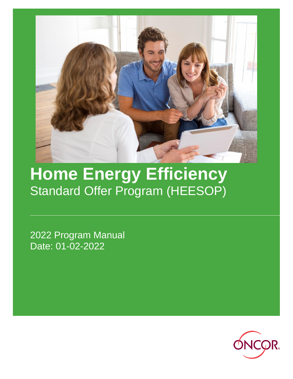

# **Home Energy Efficiency** Standard Offer Program (HEESOP)

2022 Program Manual Date: 01-02-2022

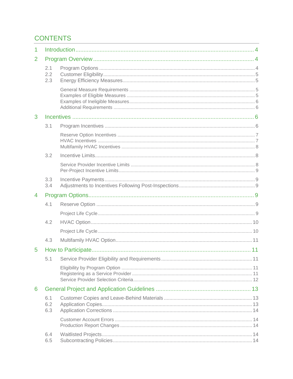# **CONTENTS**

| 1              |                   |  |     |  |
|----------------|-------------------|--|-----|--|
| $\overline{2}$ |                   |  |     |  |
|                | 2.1<br>2.2<br>2.3 |  |     |  |
|                |                   |  |     |  |
| 3              |                   |  |     |  |
|                | 3.1               |  |     |  |
|                |                   |  |     |  |
|                | 3.2               |  |     |  |
|                |                   |  |     |  |
|                | 3.3<br>3.4        |  |     |  |
| 4              |                   |  |     |  |
|                | 4.1               |  |     |  |
|                |                   |  |     |  |
|                | 4.2               |  |     |  |
|                |                   |  |     |  |
|                | 4.3               |  |     |  |
| 5              |                   |  |     |  |
|                |                   |  | .11 |  |
|                |                   |  |     |  |
| 6              |                   |  |     |  |
|                | 6.1<br>6.2<br>6.3 |  |     |  |
|                |                   |  |     |  |
|                | 6.4<br>6.5        |  |     |  |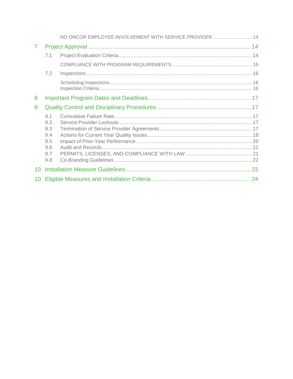|                |                                                      | NO ONCOR EMPLOYEE INVOLVEMENT WITH SERVICE PROVIDER 14 |  |
|----------------|------------------------------------------------------|--------------------------------------------------------|--|
| $\overline{7}$ |                                                      |                                                        |  |
|                | 7.1                                                  |                                                        |  |
|                |                                                      |                                                        |  |
|                | 7.2                                                  |                                                        |  |
|                |                                                      |                                                        |  |
| 8              |                                                      |                                                        |  |
| 9              |                                                      |                                                        |  |
|                | 9.1<br>9.2<br>9.3<br>9.4<br>9.5<br>9.6<br>9.7<br>9.8 |                                                        |  |
|                |                                                      |                                                        |  |
| 10             |                                                      |                                                        |  |
| 10             |                                                      |                                                        |  |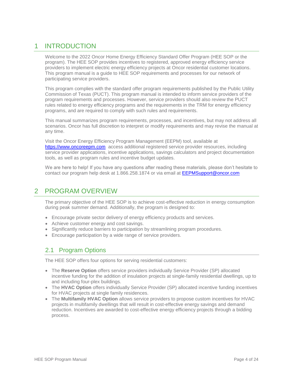# <span id="page-3-0"></span>1 INTRODUCTION

Welcome to the 2022 Oncor Home Energy Efficiency Standard Offer Program (HEE SOP or the program). The HEE SOP provides incentives to registered, approved energy efficiency service providers to implement electric energy efficiency projects at Oncor residential customer locations. This program manual is a guide to HEE SOP requirements and processes for our network of participating service providers.

This program complies with the standard offer program requirements published by the Public Utility Commission of Texas (PUCT). This program manual is intended to inform service providers of the program requirements and processes. However, service providers should also review the PUCT rules related to energy efficiency programs and the requirements in the TRM for energy efficiency programs, and are required to comply with such rules and requirements.

This manual summarizes program requirements, processes, and incentives, but may not address all scenarios. Oncor has full discretion to interpret or modify requirements and may revise the manual at any time.

Visit the Oncor Energy Efficiency Program Management (EEPM) tool, available at [https://www.oncoreepm.com](https://www.oncoreepm.com/) access additional registered service provider resources, including service provider applications, incentive applications, savings calculators and project documentation tools, as well as program rules and incentive budget updates.

We are here to help! If you have any questions after reading these materials, please don't hesitate to contact our program help desk at 1.866.258.1874 or via email at [EEPMSupport@oncor.com](mailto:EEPMSupport@oncor.com)

# <span id="page-3-1"></span>2 PROGRAM OVERVIEW

The primary objective of the HEE SOP is to achieve cost-effective reduction in energy consumption during peak summer demand. Additionally, the program is designed to:

- Encourage private sector delivery of energy efficiency products and services.
- Achieve customer energy and cost savings.
- Significantly reduce barriers to participation by streamlining program procedures.
- Encourage participation by a wide range of service providers.

# <span id="page-3-2"></span>2.1 Program Options

The HEE SOP offers four options for serving residential customers:

- The **Reserve Option** offers service providers individually Service Provider (SP) allocated incentive funding for the addition of insulation projects at single-family residential dwellings, up to and including four-plex buildings.
- The **HVAC Option** offers individually Service Provider (SP) allocated incentive funding incentives for HVAC projects at single family residences.
- The **Multifamily HVAC Option** allows service providers to propose custom incentives for HVAC projects in multifamily dwellings that will result in cost-effective energy savings and demand reduction. Incentives are awarded to cost-effective energy efficiency projects through a bidding process.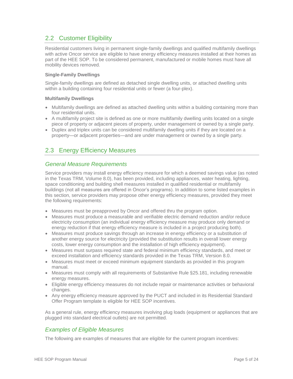# <span id="page-4-0"></span>2.2 Customer Eligibility

Residential customers living in permanent single-family dwellings and qualified multifamily dwellings with active Oncor service are eligible to have energy efficiency measures installed at their homes as part of the HEE SOP. To be considered permanent, manufactured or mobile homes must have all mobility devices removed.

#### **Single-Family Dwellings**

Single-family dwellings are defined as detached single dwelling units, or attached dwelling units within a building containing four residential units or fewer (a four-plex).

#### **Multifamily Dwellings**

- Multifamily dwellings are defined as attached dwelling units within a building containing more than four residential units.
- A multifamily project site is defined as one or more multifamily dwelling units located on a single piece of property or adjacent pieces of property, under management or owned by a single party.
- Duplex and triplex units can be considered multifamily dwelling units if they are located on a property—or adjacent properties—and are under management or owned by a single party.

# <span id="page-4-1"></span>2.3 Energy Efficiency Measures

## <span id="page-4-2"></span>*General Measure Requirements*

Service providers may install energy efficiency measure for which a deemed savings value (as noted in the Texas TRM, Volume 8.0), has been provided, including appliances, water heating, lighting, space conditioning and building shell measures installed in qualified residential or multifamily buildings (not all measures are offered in Oncor's programs). In addition to some listed examples in this section, service providers may propose other energy efficiency measures, provided they meet the following requirements:

- Measures must be preapproved by Oncor and offered thru the program option.
- Measures must produce a measurable and verifiable electric demand reduction and/or reduce electricity consumption (an individual energy efficiency measure may produce only demand or energy reduction if that energy efficiency measure is included in a project producing both).
- Measures must produce savings through an increase in energy efficiency or a substitution of another energy source for electricity (provided the substitution results in overall lower energy costs, lower energy consumption and the installation of high efficiency equipment).
- Measures must surpass required state and federal minimum efficiency standards, and meet or exceed installation and efficiency standards provided in the Texas TRM, Version 8.0.
- Measures must meet or exceed minimum equipment standards as provided in this program manual.
- Measures must comply with all requirements of Substantive Rule §25.181, including renewable energy measures.
- Eligible energy efficiency measures do not include repair or maintenance activities or behavioral changes.
- Any energy efficiency measure approved by the PUCT and included in its Residential Standard Offer Program template is eligible for HEE SOP incentives.

As a general rule, energy efficiency measures involving plug loads (equipment or appliances that are plugged into standard electrical outlets) are not permitted.

## <span id="page-4-3"></span>*Examples of Eligible Measures*

The following are examples of measures that are eligible for the current program incentives: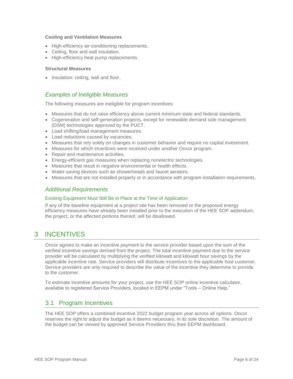#### **Cooling and Ventilation Measures**

- High-efficiency air-conditioning replacements.
- Ceiling, floor and wall insulation.
- High-efficiency heat pump replacements.

#### **Structural Measures**

• Insulation: ceiling, wall and floor.

## <span id="page-5-0"></span>*Examples of Ineligible Measures*

The following measures are ineligible for program incentives:

- Measures that do not raise efficiency above current minimum state and federal standards.
- Cogeneration and self-generation projects, except for renewable demand side management (DSM) technologies approved by the PUCT.
- Load shifting/load management measures.
- Load reductions caused by vacancies.
- Measures that rely solely on changes in customer behavior and require no capital investment.
- Measures for which incentives were received under another Oncor program.
- Repair and maintenance activities.
- Energy-efficient gas measures when replacing nonelectric technologies.
- Measures that result in negative environmental or health effects.
- Water-saving devices such as showerheads and faucet aerators.
- Measures that are not installed properly or in accordance with program installation requirements.

## <span id="page-5-1"></span>*Additional Requirements*

#### Existing Equipment Must Still Be in Place at the Time of Application

If any of the baseline equipment at a project site has been removed or the proposed energy efficiency measures have already been installed prior to the execution of the HEE SOP addendum, the project, or the affected portions thereof, will be disallowed.

# <span id="page-5-2"></span>3 INCENTIVES

Oncor agrees to make an incentive payment to the service provider based upon the sum of the verified incentive savings derived from the project. The total incentive payment due to the service provider will be calculated by multiplying the verified kilowatt and kilowatt hour savings by the applicable incentive rate. Service providers will distribute incentives to the applicable host customer. Service providers are only required to describe the value of the incentive they determine to provide to the customer.

To estimate incentive amounts for your project, use the HEE SOP online incentive calculator, available to registered Service Providers, located in EEPM under "Tools – Online Help."

## <span id="page-5-3"></span>3.1 Program Incentives

The HEE SOP offers a combined incentive 2022 budget program year across all options. Oncor reserves the right to adjust the budget as it deems necessary, in its sole discretion. The amount of the budget can be viewed by approved Service Providers thru their EEPM dashboard.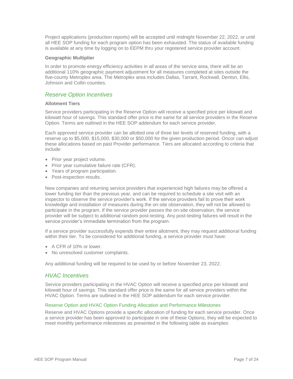Project applications (production reports) will be accepted until midnight November 22, 2022, or until all HEE SOP funding for each program option has been exhausted. The status of available funding is available at any time by logging on to EEPM thru your registered service provider account.

#### **Geographic Multiplier**

In order to promote energy efficiency activities in all areas of the service area, there will be an additional 110% geographic payment adjustment for all measures completed at sites outside the five-county Metroplex area. The Metroplex area includes Dallas, Tarrant, Rockwall, Denton, Ellis, Johnson and Collin counties.

## <span id="page-6-0"></span>*Reserve Option Incentives*

#### **Allotment Tiers**

Service providers participating in the Reserve Option will receive a specified price per kilowatt and kilowatt hour of savings. This standard offer price is the same for all service providers in the Reserve Option. Terms are outlined in the HEE SOP addendum for each service provider.

Each approved service provider can be allotted one of three tier levels of reserved funding, with a reserve up to \$5,000, \$15,000, \$30,000 or \$50,000 for the given production period. Oncor can adjust these allocations based on past Provider performance. Tiers are allocated according to criteria that include:

- Prior year project volume.
- Prior year cumulative failure rate (CFR).
- Years of program participation.
- Post-inspection results.

New companies and returning service providers that experienced high failures may be offered a lower funding tier than the previous year, and can be required to schedule a site visit with an inspector to observe the service provider's work. If the service providers fail to prove their work knowledge and installation of measures during the on-site observation, they will not be allowed to participate in the program. If the service provider passes the on-site observation, the service provider will be subject to additional random post-testing. Any post-testing failures will result in the service provider's immediate termination from the program.

If a service provider successfully expends their entire allotment, they may request additional funding within their tier. To be considered for additional funding, a service provider must have:

- A CFR of 10% or lower.
- No unresolved customer complaints.

Any additional funding will be required to be used by or before November 23, 2022.

## <span id="page-6-1"></span>*HVAC Incentives*

Service providers participating in the HVAC Option will receive a specified price per kilowatt and kilowatt hour of savings. This standard offer price is the same for all service providers within the HVAC Option. Terms are outlined in the HEE SOP addendum for each service provider.

#### Reserve Option and HVAC Option Funding Allocation and Performance Milestones

Reserve and HVAC Options provide a specific allocation of funding for each service provider. Once a service provider has been approved to participate in one of these Options, they will be expected to meet monthly performance milestones as presented in the following table as examples: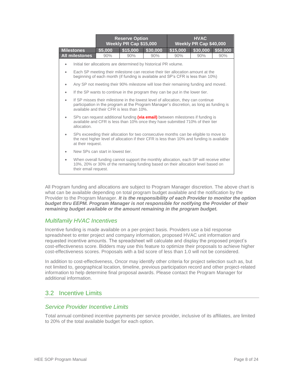|           |                                                                                                                                                                                                                           | <b>Reserve Option</b><br>Weekly PR Cap \$15,000 |          |                                                                                                                                                                    | <b>HVAC</b><br>Weekly PR Cap \$40,000 |          |          |
|-----------|---------------------------------------------------------------------------------------------------------------------------------------------------------------------------------------------------------------------------|-------------------------------------------------|----------|--------------------------------------------------------------------------------------------------------------------------------------------------------------------|---------------------------------------|----------|----------|
|           | <b>Milestones</b>                                                                                                                                                                                                         | \$5,000                                         | \$15,000 | \$30,000                                                                                                                                                           | \$15,000                              | \$30,000 | \$50,000 |
|           | <b>All milestones</b>                                                                                                                                                                                                     | 90%                                             | 90%      | 90%                                                                                                                                                                | 90%                                   | 90%      | 90%      |
| ٠         |                                                                                                                                                                                                                           |                                                 |          | Initial tier allocations are determined by historical PR volume.                                                                                                   |                                       |          |          |
| ٠         |                                                                                                                                                                                                                           |                                                 |          | Each SP meeting their milestone can receive their tier allocation amount at the<br>beginning of each month (if funding is available and SP's CFR is less than 10%) |                                       |          |          |
| $\bullet$ |                                                                                                                                                                                                                           |                                                 |          | Any SP not meeting their 90% milestone will lose their remaining funding and moved.                                                                                |                                       |          |          |
| ٠         |                                                                                                                                                                                                                           |                                                 |          | If the SP wants to continue in the program they can be put in the lower tier.                                                                                      |                                       |          |          |
| ٠         | If SP misses their milestone in the lowest level of allocation, they can continue<br>participation in the program at the Program Manager's discretion, as long as funding is<br>available and their CFR is less than 10%. |                                                 |          |                                                                                                                                                                    |                                       |          |          |
| ٠         | SPs can request additional funding (via email) between milestones if funding is<br>available and CFR is less than 10% once they have submitted 710% of their tier<br>allocation.                                          |                                                 |          |                                                                                                                                                                    |                                       |          |          |
|           | SPs exceeding their allocation for two consecutive months can be eligible to move to<br>the next higher level of allocation if their CFR is less than 10% and funding is available<br>at their request.                   |                                                 |          |                                                                                                                                                                    |                                       |          |          |
|           | New SPs can start in lowest tier.                                                                                                                                                                                         |                                                 |          |                                                                                                                                                                    |                                       |          |          |
| ۰         | When overall funding cannot support the monthly allocation, each SP will receive either<br>10%, 20% or 30% of the remaining funding based on their allocation level based on<br>their email request.                      |                                                 |          |                                                                                                                                                                    |                                       |          |          |

All Program funding and allocations are subject to Program Manager discretion. The above chart is what can be available depending on total program budget available and the notification by the Provider to the Program Manager. *It is the responsibility of each Provider to monitor the option budget thru EEPM. Program Manager is not responsible for notifying the Provider of their remaining budget available or the amount remaining in the program budget.*

## <span id="page-7-0"></span>*Multifamily HVAC Incentives*

Incentive funding is made available on a per-project basis. Providers use a bid response spreadsheet to enter project and company information, proposed HVAC unit information and requested incentive amounts. The spreadsheet will calculate and display the proposed project's cost-effectiveness score. Bidders may use this feature to optimize their proposals to achieve higher cost-effectiveness scores. Proposals with a bid score of less than 1.0 will not be considered.

In addition to cost-effectiveness, Oncor may identify other criteria for project selection such as, but not limited to, geographical location, timeline, previous participation record and other project-related information to help determine final proposal awards. Please contact the Program Manager for additional information.

# <span id="page-7-1"></span>3.2 Incentive Limits

## <span id="page-7-2"></span>*Service Provider Incentive Limits*

Total annual combined incentive payments per service provider, inclusive of its affiliates, are limited to 20% of the total available budget for each option.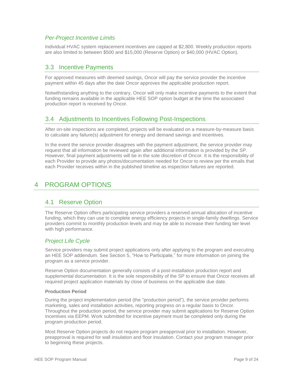## <span id="page-8-0"></span>*Per-Project Incentive Limits*

Individual HVAC system replacement incentives are capped at \$2,800. Weekly production reports are also limited to between \$500 and \$15,000 (Reserve Option) or \$40,000 (HVAC Option).

# <span id="page-8-1"></span>3.3 Incentive Payments

For approved measures with deemed savings, Oncor will pay the service provider the incentive payment within 45 days after the date Oncor approves the applicable production report.

Notwithstanding anything to the contrary, Oncor will only make incentive payments to the extent that funding remains available in the applicable HEE SOP option budget at the time the associated production report is received by Oncor.

# <span id="page-8-2"></span>3.4 Adjustments to Incentives Following Post-Inspections

After on-site inspections are completed, projects will be evaluated on a measure-by-measure basis to calculate any failure(s) adjustment for energy and demand savings and incentives.

In the event the service provider disagrees with the payment adjustment, the service provider may request that all information be reviewed again after additional information is provided by the SP. However, final payment adjustments will be in the sole discretion of Oncor. It is the responsibility of each Provider to provide any photos/documentation needed for Oncor to review per the emails that each Provider receives within in the published timeline as inspection failures are reported.

# <span id="page-8-4"></span><span id="page-8-3"></span>4 PROGRAM OPTIONS

## 4.1 Reserve Option

The Reserve Option offers participating service providers a reserved annual allocation of incentive funding, which they can use to complete energy efficiency projects in single-family dwellings. Service providers commit to monthly production levels and may be able to increase their funding tier level with high performance.

## <span id="page-8-5"></span>*Project Life Cycle*

Service providers may submit project applications only after applying to the program and executing an HEE SOP addendum. See Section 5, "How to Participate," for more information on joining the program as a service provider.

Reserve Option documentation generally consists of a post-installation production report and supplemental documentation. It is the sole responsibility of the SP to ensure that Oncor receives all required project application materials by close of business on the applicable due date.

#### **Production Period**

During the project implementation period (the "production period"), the service provider performs marketing, sales and installation activities, reporting progress on a regular basis to Oncor. Throughout the production period, the service provider may submit applications for Reserve Option incentives via EEPM. Work submitted for incentive payment must be completed only during the program production period.

Most Reserve Option projects do not require program preapproval prior to installation. However, preapproval is required for wall insulation and floor insulation. Contact your program manager prior to beginning these projects.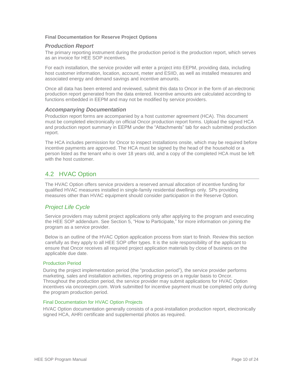#### **Final Documentation for Reserve Project Options**

#### *Production Report*

The primary reporting instrument during the production period is the production report, which serves as an invoice for HEE SOP incentives.

For each installation, the service provider will enter a project into EEPM, providing data, including host customer information, location, account, meter and ESIID, as well as installed measures and associated energy and demand savings and incentive amounts.

Once all data has been entered and reviewed, submit this data to Oncor in the form of an electronic production report generated from the data entered. Incentive amounts are calculated according to functions embedded in EEPM and may not be modified by service providers.

#### *Accompanying Documentation*

Production report forms are accompanied by a host customer agreement (HCA). This document must be completed electronically on official Oncor production report forms. Upload the signed HCA and production report summary in EEPM under the "Attachments" tab for each submitted production report.

The HCA includes permission for Oncor to inspect installations onsite, which may be required before incentive payments are approved. The HCA must be signed by the head of the household or a person listed as the tenant who is over 18 years old, and a copy of the completed HCA must be left with the host customer.

# <span id="page-9-0"></span>4.2 HVAC Option

The HVAC Option offers service providers a reserved annual allocation of incentive funding for qualified HVAC measures installed in single-family residential dwellings only. SPs providing measures other than HVAC equipment should consider participation in the Reserve Option.

## <span id="page-9-1"></span>*Project Life Cycle*

Service providers may submit project applications only after applying to the program and executing the HEE SOP addendum. See Section 5, "How to Participate," for more information on joining the program as a service provider.

Below is an outline of the HVAC Option application process from start to finish. Review this section carefully as they apply to all HEE SOP offer types. It is the sole responsibility of the applicant to ensure that Oncor receives all required project application materials by close of business on the applicable due date.

#### Production Period

During the project implementation period (the "production period"), the service provider performs marketing, sales and installation activities, reporting progress on a regular basis to Oncor. Throughout the production period, the service provider may submit applications for HVAC Option incentives via oncoreepm.com. Work submitted for incentive payment must be completed only during the program production period.

#### Final Documentation for HVAC Option Projects

HVAC Option documentation generally consists of a post-installation production report, electronically signed HCA, AHRI certificate and supplemental photos as required.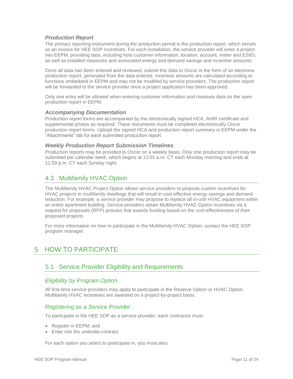#### *Production Report*

The primary reporting instrument during the production period is the production report, which serves as an invoice for HEE SOP incentives. For each installation, the service provider will enter a project into EEPM, providing data, including host customer information, location, account, meter and ESIID, as well as installed measures and associated energy and demand savings and incentive amounts.

Once all data has been entered and reviewed, submit this data to Oncor in the form of an electronic production report, generated from the data entered. Incentive amounts are calculated according to functions embedded in EEPM and may not be modified by service providers. The production report will be forwarded to the service provider once a project application has been approved.

Only one entry will be allowed when entering customer information and measure data on the open production report in EEPM.

#### *Accompanying Documentation*

Production report forms are accompanied by the electronically signed HCA, AHRI certificate and supplemental photos as required. These documents must be completed electronically Oncor production report forms. Upload the signed HCA and production report summary in EEPM under the "Attachments" tab for each submitted production report.

#### *Weekly Production Report Submission Timelines*

Production reports may be provided to Oncor on a weekly basis. Only one production report may be submitted per calendar week, which begins at 12:01 a.m. CT each Monday morning and ends at 11:59 p.m. CT each Sunday night.

# <span id="page-10-0"></span>4.3 Multifamily HVAC Option

The Multifamily HVAC Project Option allows service providers to propose custom incentives for HVAC projects in multifamily dwellings that will result in cost-effective energy savings and demand reduction. For example, a service provider may propose to replace all in-unit HVAC equipment within an entire apartment building. Service providers obtain Multifamily HVAC Option incentives via a request for proposals (RFP) process that awards funding based on the cost-effectiveness of their proposed projects.

For more information on how to participate in the Multifamily HVAC Option, contact the HEE SOP program manager.

# <span id="page-10-2"></span><span id="page-10-1"></span>5 HOW TO PARTICIPATE

## 5.1 Service Provider Eligibility and Requirements

## <span id="page-10-3"></span>*Eligibility by Program Option*

All first-time service providers may apply to participate in the Reserve Option or HVAC Option. Multifamily HVAC incentives are awarded on a project-by-project basis.

## <span id="page-10-4"></span>*Registering as a Service Provider*

To participate in the HEE SOP as a service provider, each contractor must:

- Register in EEPM, and
- Enter into the umbrella contract.

For each option you select to participate in, you must also: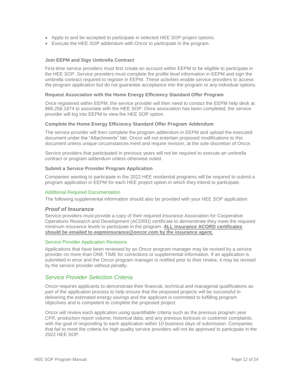- Apply to and be accepted to participate in selected HEE SOP project options.
- Execute the HEE SOP addendum with Oncor to participate in the program.

#### **Join EEPM and Sign Umbrella Contract**

First-time service providers must first create an account within EEPM to be eligible to participate in the HEE SOP. Service providers must complete the profile level information in EEPM and sign the umbrella contract required to register in EEPM. These activities enable service providers to access the program application but do not guarantee acceptance into the program or any individual options.

#### **Request Association with the Home Energy Efficiency Standard Offer Program**

Once registered within EEPM, the service provider will then need to contact the EEPM help desk at 866.258.1874 to associate with the HEE SOP. Once association has been completed, the service provider will log into EEPM to view the HEE SOP option.

#### **Complete the Home Energy Efficiency Standard Offer Program Addendum**

The service provider will then complete the program addendum in EEPM and upload the executed document under the "Attachments" tab. Oncor will not entertain proposed modifications to this document unless unique circumstances merit and require revision, at the sole discretion of Oncor.

Service providers that participated in previous years will not be required to execute an umbrella contract or program addendum unless otherwise noted.

#### **Submit a Service Provider Program Application**

Companies wanting to participate in the 2022 HEE residential programs will be required to submit a program application in EEPM for each HEE project option in which they intend to participate.

#### Additional Required Documentation

The following supplemental information should also be provided with your HEE SOP application:

#### *Proof of Insurance*

Service providers must provide a copy of their required insurance Association for Cooperative Operations Research and Development (ACORD) certificate to demonstrate they meet the required minimum insurance levels to participate in the program. **ALL insurance ACORD certificates should be emailed to eepminsurance@oncor.com by the insurance agent.**

#### Service Provider Application Revisions

Applications that have been reviewed by an Oncor program manager may be revised by a service provider no more than ONE TIME for corrections or supplemental information. If an application is submitted in error and the Oncor program manager is notified prior to their review, it may be revised by the service provider without penalty.

## <span id="page-11-0"></span>*Service Provider Selection Criteria*

Oncor requires applicants to demonstrate their financial, technical and managerial qualifications as part of the application process to help ensure that the proposed projects will be successful in delivering the estimated energy savings and the applicant is committed to fulfilling program objectives and is competent to complete the proposed project.

Oncor will review each application using quantifiable criteria such as the previous program year CFR, production report volume, historical data, and any previous lockouts or customer complaints, with the goal of responding to each application within 10 business days of submission. Companies that fail to meet the criteria for high quality service providers will not be approved to participate in the 2022 HEE SOP.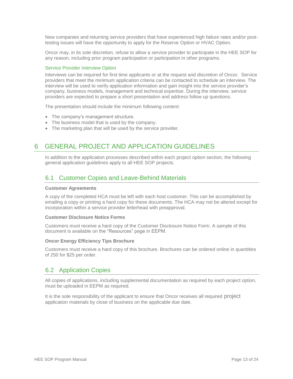New companies and returning service providers that have experienced high failure rates and/or posttesting issues will have the opportunity to apply for the Reserve Option or HVAC Option.

Oncor may, in its sole discretion, refuse to allow a service provider to participate in the HEE SOP for any reason, including prior program participation or participation in other programs.

#### Service Provider Interview Option

Interviews can be required for first time applicants or at the request and discretion of Oncor. Service providers that meet the minimum application criteria can be contacted to schedule an interview. The interview will be used to verify application information and gain insight into the service provider's company, business models, management and technical expertise. During the interview, service providers are expected to prepare a short presentation and address follow up questions.

The presentation should include the minimum following content:

- The company's management structure.
- The business model that is used by the company.
- The marketing plan that will be used by the service provider.

# <span id="page-12-0"></span>6 GENERAL PROJECT AND APPLICATION GUIDELINES

In addition to the application processes described within each project option section, the following general application guidelines apply to all HEE SOP projects.

# <span id="page-12-1"></span>6.1 Customer Copies and Leave-Behind Materials

#### **Customer Agreements**

A copy of the completed HCA must be left with each host customer. This can be accomplished by emailing a copy or printing a hard copy for these documents. The HCA may not be altered except for incorporation within a service provider letterhead with preapproval.

#### **Customer Disclosure Notice Forms**

Customers must receive a hard copy of the Customer Disclosure Notice Form. A sample of this document is available on the "Resources" page in EEPM.

#### **Oncor Energy Efficiency Tips Brochure**

Customers must receive a hard copy of this brochure. Brochures can be ordered online in quantities of 250 for \$25 per order.

## <span id="page-12-2"></span>6.2 Application Copies

All copies of applications, including supplemental documentation as required by each project option, must be uploaded in EEPM as required.

It is the sole responsibility of the applicant to ensure that Oncor receives all required project application materials by close of business on the applicable due date.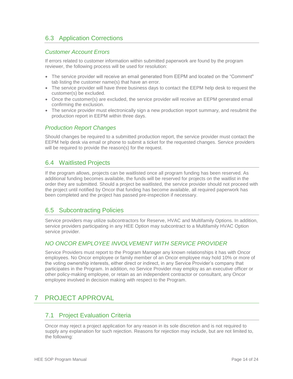# <span id="page-13-0"></span>6.3 Application Corrections

## <span id="page-13-1"></span>*Customer Account Errors*

If errors related to customer information within submitted paperwork are found by the program reviewer, the following process will be used for resolution:

- The service provider will receive an email generated from EEPM and located on the "Comment" tab listing the customer name(s) that have an error.
- The service provider will have three business days to contact the EEPM help desk to request the customer(s) be excluded.
- Once the customer(s) are excluded, the service provider will receive an EEPM generated email confirming the exclusion.
- The service provider must electronically sign a new production report summary, and resubmit the production report in EEPM within three days.

## <span id="page-13-2"></span>*Production Report Changes*

Should changes be required to a submitted production report, the service provider must contact the EEPM help desk via email or phone to submit a ticket for the requested changes. Service providers will be required to provide the reason(s) for the request.

# <span id="page-13-3"></span>6.4 Waitlisted Projects

If the program allows, projects can be waitlisted once all program funding has been reserved. As additional funding becomes available, the funds will be reserved for projects on the waitlist in the order they are submitted. Should a project be waitlisted, the service provider should not proceed with the project until notified by Oncor that funding has become available, all required paperwork has been completed and the project has passed pre-inspection if necessary.

## <span id="page-13-4"></span>6.5 Subcontracting Policies

Service providers may utilize subcontractors for Reserve, HVAC and Multifamily Options. In addition, service providers participating in any HEE Option may subcontract to a Multifamily HVAC Option service provider.

## <span id="page-13-5"></span>*NO ONCOR EMPLOYEE INVOLVEMENT WITH SERVICE PROVIDER*

Service Providers must report to the Program Manager any known relationships it has with Oncor employees. No Oncor employee or family member of an Oncor employee may hold 10% or more of the voting ownership interests, either direct or indirect, in any Service Provider's company that participates in the Program. In addition, no Service Provider may employ as an executive officer or other policy-making employee, or retain as an independent contractor or consultant, any Oncor employee involved in decision making with respect to the Program.

# <span id="page-13-7"></span><span id="page-13-6"></span>7 PROJECT APPROVAL

## 7.1 Project Evaluation Criteria

Oncor may reject a project application for any reason in its sole discretion and is not required to supply any explanation for such rejection. Reasons for rejection may include, but are not limited to, the following: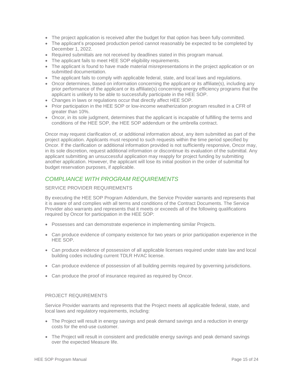- The project application is received after the budget for that option has been fully committed.
- The applicant's proposed production period cannot reasonably be expected to be completed by December 1, 2022.
- Required submittals are not received by deadlines stated in this program manual.
- The applicant fails to meet HEE SOP eligibility requirements.
- The applicant is found to have made material misrepresentations in the project application or on submitted documentation.
- The applicant fails to comply with applicable federal, state, and local laws and regulations.
- Oncor determines, based on information concerning the applicant or its affiliate(s), including any prior performance of the applicant or its affiliate(s) concerning energy efficiency programs that the applicant is unlikely to be able to successfully participate in the HEE SOP.
- Changes in laws or regulations occur that directly affect HEE SOP.
- Prior participation in the HEE SOP or low-income weatherization program resulted in a CFR of greater than 10%.
- Oncor, in its sole judgment, determines that the applicant is incapable of fulfilling the terms and conditions of the HEE SOP, the HEE SOP addendum or the umbrella contract.

Oncor may request clarification of, or additional information about, any item submitted as part of the project application. Applicants must respond to such requests within the time period specified by Oncor. If the clarification or additional information provided is not sufficiently responsive, Oncor may, in its sole discretion, request additional information or discontinue its evaluation of the submittal. Any applicant submitting an unsuccessful application may reapply for project funding by submitting another application. However, the applicant will lose its initial position in the order of submittal for budget reservation purposes, if applicable.

## <span id="page-14-0"></span>*COMPLIANCE WITH PROGRAM REQUIREMENTS*

#### SERVICE PROVIDER REQUIREMENTS

By executing the HEE SOP Program Addendum, the Service Provider warrants and represents that it is aware of and complies with all terms and conditions of the Contract Documents. The Service Provider also warrants and represents that it meets or exceeds all of the following qualifications required by Oncor for participation in the HEE SOP:

- Possesses and can demonstrate experience in implementing similar Projects.
- Can produce evidence of company existence for two years or prior participation experience in the HEE SOP.
- Can produce evidence of possession of all applicable licenses required under state law and local building codes including current TDLR HVAC license.
- Can produce evidence of possession of all building permits required by governing jurisdictions.
- Can produce the proof of insurance required as required by Oncor.

#### PROJECT REQUIREMENTS

Service Provider warrants and represents that the Project meets all applicable federal, state, and local laws and regulatory requirements, including:

- The Project will result in energy savings and peak demand savings and a reduction in energy costs for the end-use customer.
- The Project will result in consistent and predictable energy savings and peak demand savings over the expected Measure life.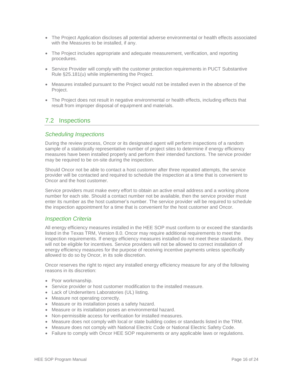- The Project Application discloses all potential adverse environmental or health effects associated with the Measures to be installed, if any.
- The Project includes appropriate and adequate measurement, verification, and reporting procedures.
- Service Provider will comply with the customer protection requirements in PUCT Substantive Rule §25.181(u) while implementing the Project.
- Measures installed pursuant to the Project would not be installed even in the absence of the Project.
- The Project does not result in negative environmental or health effects, including effects that result from improper disposal of equipment and materials.

# <span id="page-15-0"></span>7.2 Inspections

## <span id="page-15-1"></span>*Scheduling Inspections*

During the review process, Oncor or its designated agent will perform inspections of a random sample of a statistically representative number of project sites to determine if energy efficiency measures have been installed properly and perform their intended functions. The service provider may be required to be on-site during the inspection.

Should Oncor not be able to contact a host customer after three repeated attempts, the service provider will be contacted and required to schedule the inspection at a time that is convenient to Oncor and the host customer.

Service providers must make every effort to obtain an active email address and a working phone number for each site. Should a contact number not be available, then the service provider must enter its number as the host customer's number. The service provider will be required to schedule the inspection appointment for a time that is convenient for the host customer and Oncor.

## <span id="page-15-2"></span>*Inspection Criteria*

All energy efficiency measures installed in the HEE SOP must conform to or exceed the standards listed in the Texas TRM, Version 8.0. Oncor may require additional requirements to meet the inspection requirements. If energy efficiency measures installed do not meet these standards, they will not be eligible for incentives. Service providers will not be allowed to correct installation of energy efficiency measures for the purpose of receiving incentive payments unless specifically allowed to do so by Oncor, in its sole discretion.

Oncor reserves the right to reject any installed energy efficiency measure for any of the following reasons in its discretion:

- Poor workmanship.
- Service provider or host customer modification to the installed measure.
- Lack of Underwriters Laboratories (UL) listing.
- Measure not operating correctly.
- Measure or its installation poses a safety hazard.
- Measure or its installation poses an environmental hazard.
- Non-permissible access for verification for installed measures.
- Measure does not comply with local or state building codes or standards listed in the TRM.
- Measure does not comply with National Electric Code or National Electric Safety Code.
- Failure to comply with Oncor HEE SOP requirements or any applicable laws or regulations.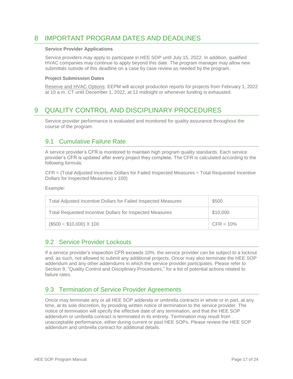# <span id="page-16-0"></span>8 IMPORTANT PROGRAM DATES AND DEADLINES

#### **Service Provider Applications**

Service providers may apply to participate in HEE SOP until July 15, 2022. In addition, qualified HVAC companies may continue to apply beyond this date. The program manager may allow new submittals outside of this deadline on a case by case review as needed by the program.

#### **Project Submission Dates**

Reserve and HVAC Options: EEPM will accept production reports for projects from February 1, 2022 at 10 a.m. CT until December 1, 2022, at 12 midnight or whenever funding is exhausted.

# <span id="page-16-1"></span>9 QUALITY CONTROL AND DISCIPLINARY PROCEDURES

Service provider performance is evaluated and monitored for quality assurance throughout the course of the program.

# <span id="page-16-2"></span>9.1 Cumulative Failure Rate

A service provider's CFR is monitored to maintain high program quality standards. Each service provider's CFR is updated after every project they complete. The CFR is calculated according to the following formula:

CFR = (Total Adjusted Incentive Dollars for Failed Inspected Measures ÷ Total Requested Incentive Dollars for Inspected Measures) x 100)

Example:

| Total Adjusted Incentive Dollars for Failed Inspected Measures  | \$500       |
|-----------------------------------------------------------------|-------------|
| <b>Total Requested Incentive Dollars for Inspected Measures</b> | \$10,000    |
| $($500 \div $10,000) \times 100$                                | $CFR = 10%$ |

## <span id="page-16-3"></span>9.2 Service Provider Lockouts

If a service provider's inspection CFR exceeds 10%, the service provider can be subject to a lockout and, as such, not allowed to submit any additional projects. Oncor may also terminate the HEE SOP addendum and any other addendums in which the service provider participates. Please refer to Section 9, "Quality Control and Disciplinary Procedures," for a list of potential actions related to failure rates.

# <span id="page-16-4"></span>9.3 Termination of Service Provider Agreements

Oncor may terminate any or all HEE SOP addenda or umbrella contracts in whole or in part, at any time, at its sole discretion, by providing written notice of termination to the service provider. The notice of termination will specify the effective date of any termination, and that the HEE SOP addendum or umbrella contract is terminated in its entirety. Termination may result from unacceptable performance, either during current or past HEE SOPs. Please review the HEE SOP addendum and umbrella contract for additional details.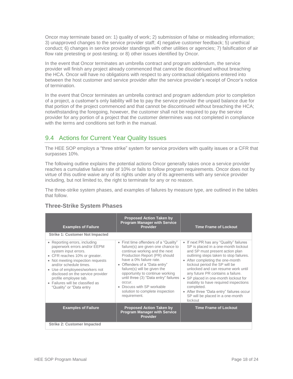Oncor may terminate based on: 1) quality of work; 2) submission of false or misleading information; 3) unapproved changes to the service provider staff; 4) negative customer feedback; 5) unethical conduct; 6) changes in service provider standings with other utilities or agencies; 7) falsification of air flow rate pretesting or post-testing; or 8) other issues identified by Oncor.

In the event that Oncor terminates an umbrella contract and program addendum, the service provider will finish any project already commenced that cannot be discontinued without breaching the HCA. Oncor will have no obligations with respect to any contractual obligations entered into between the host customer and service provider after the service provider's receipt of Oncor's notice of termination.

In the event that Oncor terminates an umbrella contract and program addendum prior to completion of a project, a customer's only liability will be to pay the service provider the unpaid balance due for that portion of the project commenced and that cannot be discontinued without breaching the HCA; notwithstanding the foregoing, however, the customer shall not be required to pay the service provider for any portion of a project that the customer determines was not completed in compliance with the terms and conditions set forth in the manual.

# <span id="page-17-0"></span>9.4 Actions for Current Year Quality Issues

The HEE SOP employs a "three strike" system for service providers with quality issues or a CFR that surpasses 10%.

The following outline explains the potential actions Oncor generally takes once a service provider reaches a cumulative failure rate of 10% or fails to follow program requirements. Oncor does not by virtue of this outline waive any of its rights under any of its agreements with any service provider including, but not limited to, the right to terminate for any or no reason.

The three-strike system phases, and examples of failures by measure type, are outlined in the tables that follow.

| <b>Examples of Failure</b>                                                                                                                                                                                                                                                                                                                            | <b>Proposed Action Taken by</b><br><b>Program Manager with Service</b><br><b>Provider</b>                                                                                                                                                                                                                                                                                                                        | <b>Time Frame of Lockout</b>                                                                                                                                                                                                                                                                                                                                                                                                                                                                             |  |  |  |
|-------------------------------------------------------------------------------------------------------------------------------------------------------------------------------------------------------------------------------------------------------------------------------------------------------------------------------------------------------|------------------------------------------------------------------------------------------------------------------------------------------------------------------------------------------------------------------------------------------------------------------------------------------------------------------------------------------------------------------------------------------------------------------|----------------------------------------------------------------------------------------------------------------------------------------------------------------------------------------------------------------------------------------------------------------------------------------------------------------------------------------------------------------------------------------------------------------------------------------------------------------------------------------------------------|--|--|--|
| <b>Strike 1: Customer Not Impacted</b>                                                                                                                                                                                                                                                                                                                |                                                                                                                                                                                                                                                                                                                                                                                                                  |                                                                                                                                                                                                                                                                                                                                                                                                                                                                                                          |  |  |  |
| • Reporting errors, including<br>paperwork errors and/or EEPM<br>system input errors.<br>• CFR reaches 10% or greater.<br>• Not meeting inspection requests<br>and/or schedule times.<br>• Use of employees/workers not<br>disclosed on the service provider<br>profile employee tab.<br>• Failures will be classified as<br>"Quality" or "Data entry | • First time offenders of a "Quality"<br>failure(s) are given one chance to<br>continue working and the next<br>Production Report (PR) should<br>have a 0% failure rate.<br>• Offenders of a "Data entry"<br>failure(s) will be given the<br>opportunity to continue working<br>until three (3) "Data entry" failures<br>OCCUL.<br>• Discuss with SP workable<br>solution to complete inspection<br>requirement. | • If next PR has any "Quality" failures<br>SP is placed in a one-month lockout<br>and SP must present action plan<br>outlining steps taken to stop failures.<br>• After completing the one-month<br>lockout period the SP will be<br>unlocked and can resume work until<br>any future PR contains a failure.<br>• SP placed in one-month lockout for<br>inability to have required inspections<br>completed.<br>• After three "Data entry" failures occur<br>SP will be placed in a one-month<br>lockout |  |  |  |
| <b>Examples of Failure</b>                                                                                                                                                                                                                                                                                                                            | <b>Proposed Action Taken by</b><br><b>Program Manager with Service</b><br><b>Provider</b>                                                                                                                                                                                                                                                                                                                        | <b>Time Frame of Lockout</b>                                                                                                                                                                                                                                                                                                                                                                                                                                                                             |  |  |  |
| <b>Strike 2: Customer Impacted</b>                                                                                                                                                                                                                                                                                                                    |                                                                                                                                                                                                                                                                                                                                                                                                                  |                                                                                                                                                                                                                                                                                                                                                                                                                                                                                                          |  |  |  |

## **Three-Strike System Phases**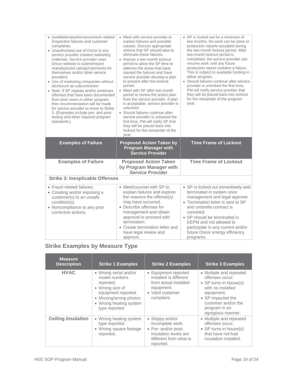| • Installation/performance/work related<br>/inspection failures and customer<br>complaints.<br>• Unauthorized use of Oncor in any<br>service provider created marketing<br>materials. Service provider uses<br>Oncor website to submit/report<br>manufactured ratings/comments for<br>themselves and/or other service<br>providers.<br>• Use of marketing companies without<br>disclosure as subcontractor.<br>• Note: If SP repeats and/or continues<br>offenses that have been documented<br>from prior years in either program,<br>then recommendation will be made<br>for service provider to move to Strike<br>3. (Examples include pre- and post-<br>testing and other required program<br>standards.) | • Meet with service provider to<br>explain failures and possible<br>causes. Discuss appropriate<br>actions that SP should take to<br>eliminate these failures.<br>• Impose a two-month lockout<br>period to allow the SP time to<br>address the areas that have<br>caused the failures and have<br>service provider develop a plan<br>to present after the lockout<br>period.<br>• Meet with SP after two-month<br>period to review the action plan<br>from the service provider. If plan<br>is acceptable, service provider is<br>unlocked.<br>• Should failures continue after<br>service provider is unlocked the<br>first time, PM will notify SP that<br>they will be placed back into<br>lockout for the remainder of the<br>year. | • SP is locked out for a minimum of<br>two months. No work can be done or<br>production reports accepted during<br>the two-month lockout period. After<br>two-month lockout period is<br>completed, the service provider can<br>resume work until any future<br>production report contains a failure.<br>This is subject to available funding in<br>either program.<br>• Should failures continue after service<br>provider is unlocked the first time,<br>PM will notify service provider that<br>they will be placed back into lockout<br>for the remainder of the program<br>year. |
|--------------------------------------------------------------------------------------------------------------------------------------------------------------------------------------------------------------------------------------------------------------------------------------------------------------------------------------------------------------------------------------------------------------------------------------------------------------------------------------------------------------------------------------------------------------------------------------------------------------------------------------------------------------------------------------------------------------|------------------------------------------------------------------------------------------------------------------------------------------------------------------------------------------------------------------------------------------------------------------------------------------------------------------------------------------------------------------------------------------------------------------------------------------------------------------------------------------------------------------------------------------------------------------------------------------------------------------------------------------------------------------------------------------------------------------------------------------|---------------------------------------------------------------------------------------------------------------------------------------------------------------------------------------------------------------------------------------------------------------------------------------------------------------------------------------------------------------------------------------------------------------------------------------------------------------------------------------------------------------------------------------------------------------------------------------|
|                                                                                                                                                                                                                                                                                                                                                                                                                                                                                                                                                                                                                                                                                                              |                                                                                                                                                                                                                                                                                                                                                                                                                                                                                                                                                                                                                                                                                                                                          |                                                                                                                                                                                                                                                                                                                                                                                                                                                                                                                                                                                       |
| <b>Examples of Failure</b>                                                                                                                                                                                                                                                                                                                                                                                                                                                                                                                                                                                                                                                                                   | <b>Proposed Action Taken by</b><br><b>Program Manager with</b><br><b>Service Provider</b>                                                                                                                                                                                                                                                                                                                                                                                                                                                                                                                                                                                                                                                | <b>Time Frame of Lockout</b>                                                                                                                                                                                                                                                                                                                                                                                                                                                                                                                                                          |
| <b>Examples of Failure</b>                                                                                                                                                                                                                                                                                                                                                                                                                                                                                                                                                                                                                                                                                   | <b>Proposed Action Taken</b><br>by Program Manager with<br><b>Service Provider</b>                                                                                                                                                                                                                                                                                                                                                                                                                                                                                                                                                                                                                                                       | <b>Time Frame of Lockout</b>                                                                                                                                                                                                                                                                                                                                                                                                                                                                                                                                                          |
| <b>Strike 3: Inexplicable Offenses</b>                                                                                                                                                                                                                                                                                                                                                                                                                                                                                                                                                                                                                                                                       |                                                                                                                                                                                                                                                                                                                                                                                                                                                                                                                                                                                                                                                                                                                                          |                                                                                                                                                                                                                                                                                                                                                                                                                                                                                                                                                                                       |

# **Strike Examples by Measure Type**

| <b>Measure</b><br><b>Description</b> | <b>Strike 1 Examples</b>                                                                                                                                           | <b>Strike 2 Examples</b>                                                                                                   | <b>Strike 3 Examples</b>                                                                                                                                                                  |
|--------------------------------------|--------------------------------------------------------------------------------------------------------------------------------------------------------------------|----------------------------------------------------------------------------------------------------------------------------|-------------------------------------------------------------------------------------------------------------------------------------------------------------------------------------------|
| <b>HVAC</b>                          | • Wrong serial and/or<br>model numbers<br>reported.<br>• Wrong size of<br>equipment reported.<br>• Missing/wrong photos<br>• Wrong heating system<br>type reported | • Equipment reported<br>installed is different<br>from actual installed<br>equipment.<br>• Valid customer<br>complaint.    | • Multiple and repeated<br>offenses occur.<br>• SP turns in house(s)<br>with no installed<br>equipment.<br>• SP impacted the<br>customer and/or the<br>program in an<br>egregious manner. |
| <b>Ceiling Insulation</b>            | • Wrong heating system<br>type reported.<br>• Wrong square footage<br>reported.                                                                                    | • Sloppy and/or<br>incomplete work.<br>• Pre- and/or post-<br>insulation levels are<br>different from what is<br>reported. | • Multiple and repeated<br>offenses occur.<br>• SP turns in house(s)<br>that have not had<br>insulation installed.                                                                        |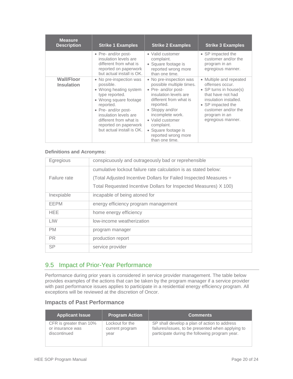| <b>Measure</b><br><b>Description</b>   | <b>Strike 1 Examples</b>                                                                                                                                                                                                                                | <b>Strike 2 Examples</b>                                                                                                                                                                                                                                                            | <b>Strike 3 Examples</b>                                                                                                                                                                             |
|----------------------------------------|---------------------------------------------------------------------------------------------------------------------------------------------------------------------------------------------------------------------------------------------------------|-------------------------------------------------------------------------------------------------------------------------------------------------------------------------------------------------------------------------------------------------------------------------------------|------------------------------------------------------------------------------------------------------------------------------------------------------------------------------------------------------|
|                                        | • Pre- and/or post-<br>insulation levels are<br>different from what is<br>reported on paperwork<br>but actual install is OK.                                                                                                                            | • Valid customer<br>complaint.<br>• Square footage is<br>reported wrong more<br>than one time.                                                                                                                                                                                      | • SP impacted the<br>customer and/or the<br>program in an<br>egregious manner.                                                                                                                       |
| <b>Wall/Floor</b><br><b>Insulation</b> | • No pre-inspection was<br>possible.<br>• Wrong heating system<br>type reported.<br>• Wrong square footage<br>reported.<br>• Pre- and/or post-<br>insulation levels are<br>different from what is<br>reported on paperwork<br>but actual install is OK. | • No pre-inspection was<br>possible multiple times.<br>• Pre- and/or post-<br>insulation levels are<br>different from what is<br>reported.<br>• Sloppy and/or<br>incomplete work.<br>• Valid customer<br>complaint.<br>• Square footage is<br>reported wrong more<br>than one time. | • Multiple and repeated<br>offenses occur.<br>• SP turns in house(s)<br>that have not had<br>insulation installed.<br>• SP impacted the<br>customer and/or the<br>program in an<br>egregious manner. |

#### **Definitions and Acronyms:**

| Egregious    | conspicuously and outrageously bad or reprehensible               |
|--------------|-------------------------------------------------------------------|
|              | cumulative lockout failure rate calculation is as stated below:   |
| Failure rate | (Total Adjusted Incentive Dollars for Failed Inspected Measures ÷ |
|              | Total Requested Incentive Dollars for Inspected Measures) X 100)  |
| Inexpiable   | incapable of being atoned for                                     |
| EEPM         | energy efficiency program management                              |
| HEE.         | home energy efficiency                                            |
| <b>LIW</b>   | low-income weatherization                                         |
| <b>PM</b>    | program manager                                                   |
| <b>PR</b>    | production report                                                 |
| <b>SP</b>    | service provider                                                  |

# <span id="page-19-0"></span>9.5 Impact of Prior-Year Performance

Performance during prior years is considered in service provider management. The table below provides examples of the actions that can be taken by the program manager if a service provider with past performance issues applies to participate in a residential energy efficiency program. All exceptions will be reviewed at the discretion of Oncor.

## **Impacts of Past Performance**

| <b>Applicant Issue</b>  | <b>Program Action</b> | <b>Comments</b>                                   |
|-------------------------|-----------------------|---------------------------------------------------|
| CFR is greater than 10% | Lockout for the       | SP shall develop a plan of action to address      |
| or insurance was        | current program       | failures/issues, to be presented when applying to |
| discontinued            | year                  | participate during the following program year.    |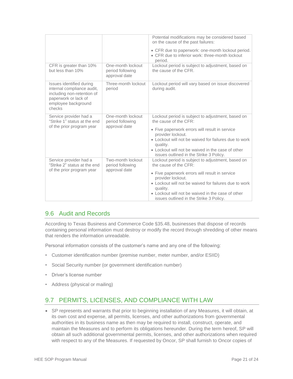|                                                                                                                                               |                                                        | Potential modifications may be considered based<br>on the cause of the past failures:                                                                                                                                                                                                                                  |
|-----------------------------------------------------------------------------------------------------------------------------------------------|--------------------------------------------------------|------------------------------------------------------------------------------------------------------------------------------------------------------------------------------------------------------------------------------------------------------------------------------------------------------------------------|
|                                                                                                                                               |                                                        | • CFR due to paperwork: one-month lockout period.<br>• CFR due to inferior work: three-month lockout<br>period.                                                                                                                                                                                                        |
| CFR is greater than 10%<br>but less than 10%                                                                                                  | One-month lockout<br>period following<br>approval date | Lockout period is subject to adjustment, based on<br>the cause of the CFR.                                                                                                                                                                                                                                             |
| Issues identified during<br>internal compliance audit,<br>including non-retention of<br>paperwork or lack of<br>employee background<br>checks | Three-month lockout<br>period                          | Lockout period will vary based on issue discovered<br>during audit.                                                                                                                                                                                                                                                    |
| Service provider had a<br>"Strike 1" status at the end<br>of the prior program year                                                           | One-month lockout<br>period following<br>approval date | Lockout period is subject to adjustment, based on<br>the cause of the CFR:<br>• Five paperwork errors will result in service<br>provider lockout.<br>• Lockout will not be waived for failures due to work<br>quality.<br>• Lockout will not be waived in the case of other<br>issues outlined in the Strike 3 Policy. |
| Service provider had a<br>"Strike 2" status at the end<br>of the prior program year                                                           | Two-month lockout<br>period following<br>approval date | Lockout period is subject to adjustment, based on<br>the cause of the CFR:<br>• Five paperwork errors will result in service<br>provider lockout.<br>• Lockout will not be waived for failures due to work<br>quality.<br>• Lockout will not be waived in the case of other<br>issues outlined in the Strike 3 Policy. |

# <span id="page-20-0"></span>9.6 Audit and Records

According to Texas Business and Commerce Code §35.48, businesses that dispose of records containing personal information must destroy or modify the record through shredding of other means that renders the information unreadable.

Personal information consists of the customer's name and any one of the following:

- Customer identification number (premise number, meter number, and/or ESIID)
- Social Security number (or government identification number)
- Driver's license number
- Address (physical or mailing)

# <span id="page-20-1"></span>9.7 PERMITS, LICENSES, AND COMPLIANCE WITH LAW

 SP represents and warrants that prior to beginning installation of any Measures, it will obtain, at its own cost and expense, all permits, licenses, and other authorizations from governmental authorities in its business name as then may be required to install, construct, operate, and maintain the Measures and to perform its obligations hereunder. During the term hereof, SP will obtain all such additional governmental permits, licenses, and other authorizations when required with respect to any of the Measures. If requested by Oncor, SP shall furnish to Oncor copies of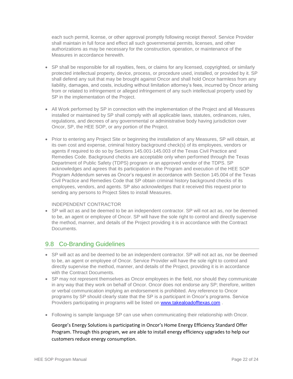each such permit, license, or other approval promptly following receipt thereof. Service Provider shall maintain in full force and effect all such governmental permits, licenses, and other authorizations as may be necessary for the construction, operation, or maintenance of the Measures in accordance herewith.

- SP shall be responsible for all royalties, fees, or claims for any licensed, copyrighted, or similarly protected intellectual property, device, process, or procedure used, installed, or provided by it. SP shall defend any suit that may be brought against Oncor and shall hold Oncor harmless from any liability, damages, and costs, including without limitation attorney's fees, incurred by Oncor arising from or related to infringement or alleged infringement of any such intellectual property used by SP in the implementation of the Project.
- All Work performed by SP in connection with the implementation of the Project and all Measures installed or maintained by SP shall comply with all applicable laws, statutes, ordinances, rules, regulations, and decrees of any governmental or administrative body having jurisdiction over Oncor, SP, the HEE SOP, or any portion of the Project.
- Prior to entering any Project Site or beginning the installation of any Measures, SP will obtain, at its own cost and expense, criminal history background check(s) of its employees, vendors or agents if required to do so by Sections 145.001-145.003 of the Texas Civil Practice and Remedies Code. Background checks are acceptable only when performed through the Texas Department of Public Safety (TDPS) program or an approved vendor of the TDPS. SP acknowledges and agrees that its participation in the Program and execution of the HEE SOP Program Addendum serves as Oncor's request in accordance with Section 145.004 of the Texas Civil Practice and Remedies Code that SP obtain criminal history background checks of its employees, vendors, and agents. SP also acknowledges that it received this request prior to sending any persons to Project Sites to install Measures.

#### INDEPENDENT CONTRACTOR

 SP will act as and be deemed to be an independent contractor. SP will not act as, nor be deemed to be, an agent or employee of Oncor. SP will have the sole right to control and directly supervise the method, manner, and details of the Project providing it is in accordance with the Contract Documents.

# <span id="page-21-0"></span>9.8 Co-Branding Guidelines

- SP will act as and be deemed to be an independent contractor. SP will not act as, nor be deemed to be, an agent or employee of Oncor. Service Provider will have the sole right to control and directly supervise the method, manner, and details of the Project, providing it is in accordance with the Contract Documents.
- SP may not represent themselves as Oncor employees in the field, nor should they communicate in any way that they work on behalf of Oncor. Oncor does not endorse any SP; therefore, written or verbal communication implying an endorsement is prohibited. Any reference to Oncor programs by SP should clearly state that the SP is a participant in Oncor's programs. Service Providers participating in programs will be listed on **www.takealoadofftexas.com**.
- Following is sample language SP can use when communicating their relationship with Oncor.

George's Energy Solutions is participating in Oncor's Home Energy Efficiency Standard Offer Program. Through this program, we are able to install energy efficiency upgrades to help our customers reduce energy consumption.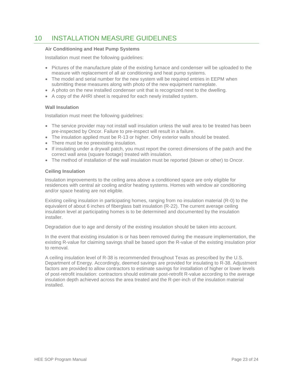# <span id="page-22-0"></span>10 INSTALLATION MEASURE GUIDELINES

#### **Air Conditioning and Heat Pump Systems**

Installation must meet the following guidelines:

- Pictures of the manufacture plate of the existing furnace and condenser will be uploaded to the measure with replacement of all air conditioning and heat pump systems.
- The model and serial number for the new system will be required entries in EEPM when submitting these measures along with photo of the new equipment nameplate.
- A photo on the new installed condenser unit that is recognized next to the dwelling.
- A copy of the AHRI sheet is required for each newly installed system.

#### **Wall Insulation**

Installation must meet the following guidelines:

- The service provider may not install wall insulation unless the wall area to be treated has been pre-inspected by Oncor. Failure to pre-inspect will result in a failure.
- The insulation applied must be R-13 or higher. Only exterior walls should be treated.
- There must be no preexisting insulation.
- If insulating under a drywall patch, you must report the correct dimensions of the patch and the correct wall area (square footage) treated with insulation.
- The method of installation of the wall insulation must be reported (blown or other) to Oncor.

#### **Ceiling Insulation**

Insulation improvements to the ceiling area above a conditioned space are only eligible for residences with central air cooling and/or heating systems. Homes with window air conditioning and/or space heating are not eligible.

Existing ceiling insulation in participating homes, ranging from no insulation material (R-0) to the equivalent of about 6 inches of fiberglass batt insulation (R-22). The current average ceiling insulation level at participating homes is to be determined and documented by the insulation installer.

Degradation due to age and density of the existing insulation should be taken into account.

In the event that existing insulation is or has been removed during the measure implementation, the existing R-value for claiming savings shall be based upon the R-value of the existing insulation prior to removal.

A ceiling insulation level of R-38 is recommended throughout Texas as prescribed by the U.S. Department of Energy. Accordingly, deemed savings are provided for insulating to R-38. Adjustment factors are provided to allow contractors to estimate savings for installation of higher or lower levels of post-retrofit insulation: contractors should estimate post-retrofit R-value according to the average insulation depth achieved across the area treated and the R-per-inch of the insulation material installed.